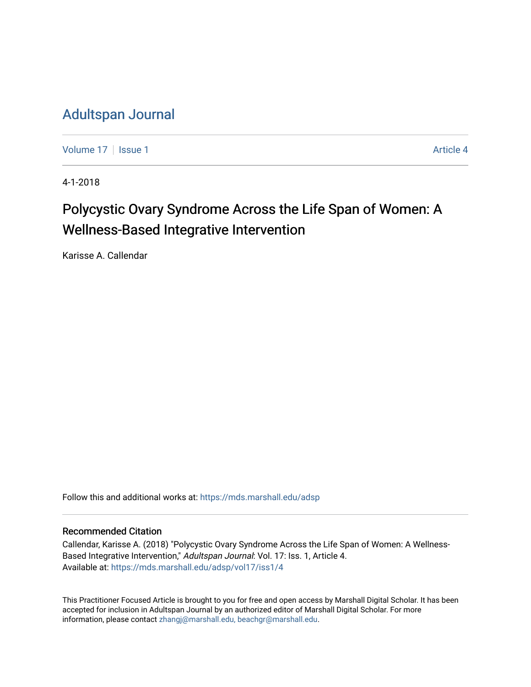## [Adultspan Journal](https://mds.marshall.edu/adsp)

[Volume 17](https://mds.marshall.edu/adsp/vol17) | [Issue 1](https://mds.marshall.edu/adsp/vol17/iss1) Article 4

4-1-2018

## Polycystic Ovary Syndrome Across the Life Span of Women: A Wellness-Based Integrative Intervention

Karisse A. Callendar

Follow this and additional works at: [https://mds.marshall.edu/adsp](https://mds.marshall.edu/adsp?utm_source=mds.marshall.edu%2Fadsp%2Fvol17%2Fiss1%2F4&utm_medium=PDF&utm_campaign=PDFCoverPages) 

#### Recommended Citation

Callendar, Karisse A. (2018) "Polycystic Ovary Syndrome Across the Life Span of Women: A Wellness-Based Integrative Intervention," Adultspan Journal: Vol. 17: Iss. 1, Article 4. Available at: [https://mds.marshall.edu/adsp/vol17/iss1/4](https://mds.marshall.edu/adsp/vol17/iss1/4?utm_source=mds.marshall.edu%2Fadsp%2Fvol17%2Fiss1%2F4&utm_medium=PDF&utm_campaign=PDFCoverPages) 

This Practitioner Focused Article is brought to you for free and open access by Marshall Digital Scholar. It has been accepted for inclusion in Adultspan Journal by an authorized editor of Marshall Digital Scholar. For more information, please contact [zhangj@marshall.edu, beachgr@marshall.edu](mailto:zhangj@marshall.edu,%20beachgr@marshall.edu).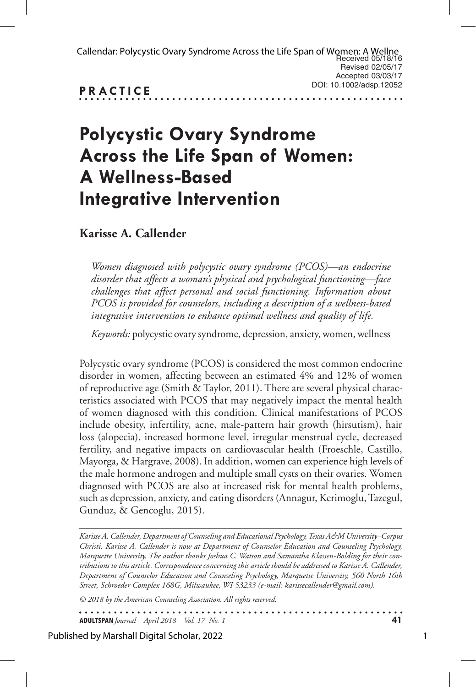| Callendar: Polycystic Ovary Syndrome Across the Life Span of Women: A Wellne<br>Received 05/18/16 |                         |
|---------------------------------------------------------------------------------------------------|-------------------------|
|                                                                                                   | Revised 02/05/17        |
|                                                                                                   | Accepted 03/03/17       |
|                                                                                                   | DOI: 10.1002/adsp.12052 |
| <b>PRACTICE</b>                                                                                   |                         |

# **Polycystic Ovary Syndrome Across the Life Span of Women: A Wellness-Based Integrative Intervention**

**Karisse A. Callender**

*Women diagnosed with polycystic ovary syndrome (PCOS)—an endocrine disorder that affects a woman's physical and psychological functioning—face challenges that affect personal and social functioning. Information about PCOS is provided for counselors, including a description of a wellness-based integrative intervention to enhance optimal wellness and quality of life.*

*Keywords:* polycystic ovary syndrome, depression, anxiety, women, wellness

Polycystic ovary syndrome (PCOS) is considered the most common endocrine disorder in women, affecting between an estimated 4% and 12% of women of reproductive age (Smith & Taylor, 2011). There are several physical characteristics associated with PCOS that may negatively impact the mental health of women diagnosed with this condition. Clinical manifestations of PCOS include obesity, infertility, acne, male-pattern hair growth (hirsutism), hair loss (alopecia), increased hormone level, irregular menstrual cycle, decreased fertility, and negative impacts on cardiovascular health (Froeschle, Castillo, Mayorga, & Hargrave, 2008). In addition, women can experience high levels of the male hormone androgen and multiple small cysts on their ovaries. Women diagnosed with PCOS are also at increased risk for mental health problems, such as depression, anxiety, and eating disorders (Annagur, Kerimoglu, Tazegul, Gunduz, & Gencoglu, 2015).

*Karisse A. Callender, Department of Counseling and Educational Psychology, Texas A&M University–Corpus Christi. Karisse A. Callender is now at Department of Counselor Education and Counseling Psychology, Marquette University. The author thanks Joshua C. Watson and Samantha Klassen-Bolding for their contributions to this article. Correspondence concerning this article should be addressed to Karisse A. Callender, Department of Counselor Education and Counseling Psychology, Marquette University, 560 North 16th Street, Schroeder Complex 168G, Milwaukee, WI 53233 (e-mail: karissecallender@gmail.com).*

*© 2018 by the American Counseling Association. All rights reserved.*

. . . . . . . **ADULTSPAN***Journal April 2018 Vol. 17 No. 1* **41**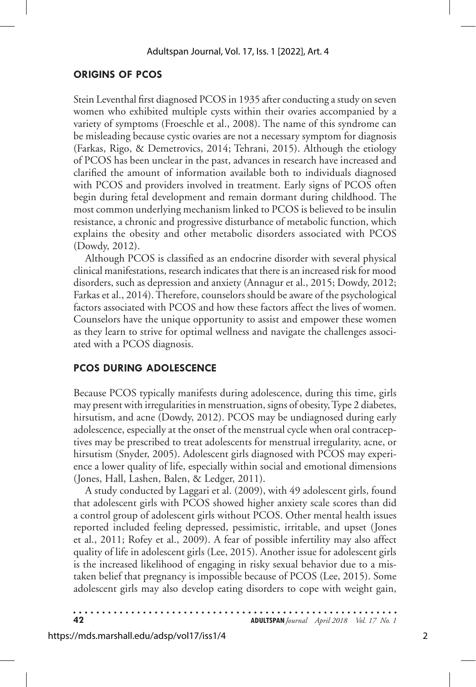## **ORIGINS OF PCOS**

Stein Leventhal first diagnosed PCOS in 1935 after conducting a study on seven women who exhibited multiple cysts within their ovaries accompanied by a variety of symptoms (Froeschle et al., 2008). The name of this syndrome can be misleading because cystic ovaries are not a necessary symptom for diagnosis (Farkas, Rigo, & Demetrovics, 2014; Tehrani, 2015). Although the etiology of PCOS has been unclear in the past, advances in research have increased and clarified the amount of information available both to individuals diagnosed with PCOS and providers involved in treatment. Early signs of PCOS often begin during fetal development and remain dormant during childhood. The most common underlying mechanism linked to PCOS is believed to be insulin resistance, a chronic and progressive disturbance of metabolic function, which explains the obesity and other metabolic disorders associated with PCOS (Dowdy, 2012).

Although PCOS is classified as an endocrine disorder with several physical clinical manifestations, research indicates that there is an increased risk for mood disorders, such as depression and anxiety (Annagur et al., 2015; Dowdy, 2012; Farkas et al., 2014). Therefore, counselors should be aware of the psychological factors associated with PCOS and how these factors affect the lives of women. Counselors have the unique opportunity to assist and empower these women as they learn to strive for optimal wellness and navigate the challenges associated with a PCOS diagnosis.

## **PCOS DURING ADOLESCENCE**

Because PCOS typically manifests during adolescence, during this time, girls may present with irregularities in menstruation, signs of obesity, Type 2 diabetes, hirsutism, and acne (Dowdy, 2012). PCOS may be undiagnosed during early adolescence, especially at the onset of the menstrual cycle when oral contraceptives may be prescribed to treat adolescents for menstrual irregularity, acne, or hirsutism (Snyder, 2005). Adolescent girls diagnosed with PCOS may experience a lower quality of life, especially within social and emotional dimensions (Jones, Hall, Lashen, Balen, & Ledger, 2011).

A study conducted by Laggari et al. (2009), with 49 adolescent girls, found that adolescent girls with PCOS showed higher anxiety scale scores than did a control group of adolescent girls without PCOS. Other mental health issues reported included feeling depressed, pessimistic, irritable, and upset (Jones et al., 2011; Rofey et al., 2009). A fear of possible infertility may also affect quality of life in adolescent girls (Lee, 2015). Another issue for adolescent girls is the increased likelihood of engaging in risky sexual behavior due to a mistaken belief that pregnancy is impossible because of PCOS (Lee, 2015). Some adolescent girls may also develop eating disorders to cope with weight gain,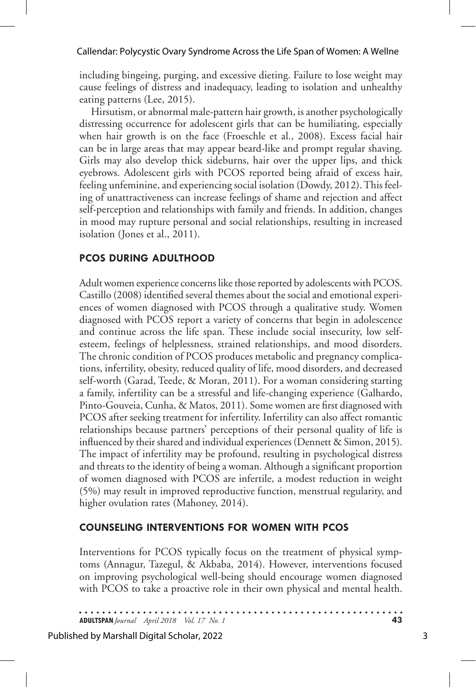including bingeing, purging, and excessive dieting. Failure to lose weight may cause feelings of distress and inadequacy, leading to isolation and unhealthy eating patterns (Lee, 2015).

Hirsutism, or abnormal male-pattern hair growth, is another psychologically distressing occurrence for adolescent girls that can be humiliating, especially when hair growth is on the face (Froeschle et al., 2008). Excess facial hair can be in large areas that may appear beard-like and prompt regular shaving. Girls may also develop thick sideburns, hair over the upper lips, and thick eyebrows. Adolescent girls with PCOS reported being afraid of excess hair, feeling unfeminine, and experiencing social isolation (Dowdy, 2012). This feeling of unattractiveness can increase feelings of shame and rejection and affect self-perception and relationships with family and friends. In addition, changes in mood may rupture personal and social relationships, resulting in increased isolation (Jones et al., 2011).

### **PCOS DURING ADULTHOOD**

Adult women experience concerns like those reported by adolescents with PCOS. Castillo (2008) identified several themes about the social and emotional experiences of women diagnosed with PCOS through a qualitative study. Women diagnosed with PCOS report a variety of concerns that begin in adolescence and continue across the life span. These include social insecurity, low selfesteem, feelings of helplessness, strained relationships, and mood disorders. The chronic condition of PCOS produces metabolic and pregnancy complications, infertility, obesity, reduced quality of life, mood disorders, and decreased self-worth (Garad, Teede, & Moran, 2011). For a woman considering starting a family, infertility can be a stressful and life-changing experience (Galhardo, Pinto-Gouveia, Cunha, & Matos, 2011). Some women are first diagnosed with PCOS after seeking treatment for infertility. Infertility can also affect romantic relationships because partners' perceptions of their personal quality of life is influenced by their shared and individual experiences (Dennett & Simon, 2015). The impact of infertility may be profound, resulting in psychological distress and threats to the identity of being a woman. Although a significant proportion of women diagnosed with PCOS are infertile, a modest reduction in weight (5%) may result in improved reproductive function, menstrual regularity, and higher ovulation rates (Mahoney, 2014).

#### **COUNSELING INTERVENTIONS FOR WOMEN WITH PCOS**

Interventions for PCOS typically focus on the treatment of physical symptoms (Annagur, Tazegul, & Akbaba, 2014). However, interventions focused on improving psychological well-being should encourage women diagnosed with PCOS to take a proactive role in their own physical and mental health.

**ADULTSPAN***Journal April 2018 Vol. 17 No. 1* **43**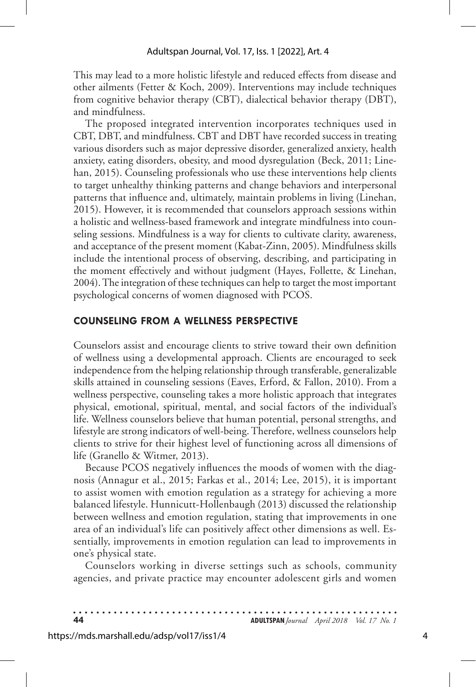This may lead to a more holistic lifestyle and reduced effects from disease and other ailments (Fetter & Koch, 2009). Interventions may include techniques from cognitive behavior therapy (CBT), dialectical behavior therapy (DBT), and mindfulness.

The proposed integrated intervention incorporates techniques used in CBT, DBT, and mindfulness. CBT and DBT have recorded success in treating various disorders such as major depressive disorder, generalized anxiety, health anxiety, eating disorders, obesity, and mood dysregulation (Beck, 2011; Linehan, 2015). Counseling professionals who use these interventions help clients to target unhealthy thinking patterns and change behaviors and interpersonal patterns that influence and, ultimately, maintain problems in living (Linehan, 2015). However, it is recommended that counselors approach sessions within a holistic and wellness-based framework and integrate mindfulness into counseling sessions. Mindfulness is a way for clients to cultivate clarity, awareness, and acceptance of the present moment (Kabat-Zinn, 2005). Mindfulness skills include the intentional process of observing, describing, and participating in the moment effectively and without judgment (Hayes, Follette, & Linehan, 2004). The integration of these techniques can help to target the most important psychological concerns of women diagnosed with PCOS.

#### **COUNSELING FROM A WELLNESS PERSPECTIVE**

Counselors assist and encourage clients to strive toward their own definition of wellness using a developmental approach. Clients are encouraged to seek independence from the helping relationship through transferable, generalizable skills attained in counseling sessions (Eaves, Erford, & Fallon, 2010). From a wellness perspective, counseling takes a more holistic approach that integrates physical, emotional, spiritual, mental, and social factors of the individual's life. Wellness counselors believe that human potential, personal strengths, and lifestyle are strong indicators of well-being. Therefore, wellness counselors help clients to strive for their highest level of functioning across all dimensions of life (Granello & Witmer, 2013).

Because PCOS negatively influences the moods of women with the diagnosis (Annagur et al., 2015; Farkas et al., 2014; Lee, 2015), it is important to assist women with emotion regulation as a strategy for achieving a more balanced lifestyle. Hunnicutt-Hollenbaugh (2013) discussed the relationship between wellness and emotion regulation, stating that improvements in one area of an individual's life can positively affect other dimensions as well. Essentially, improvements in emotion regulation can lead to improvements in one's physical state.

Counselors working in diverse settings such as schools, community agencies, and private practice may encounter adolescent girls and women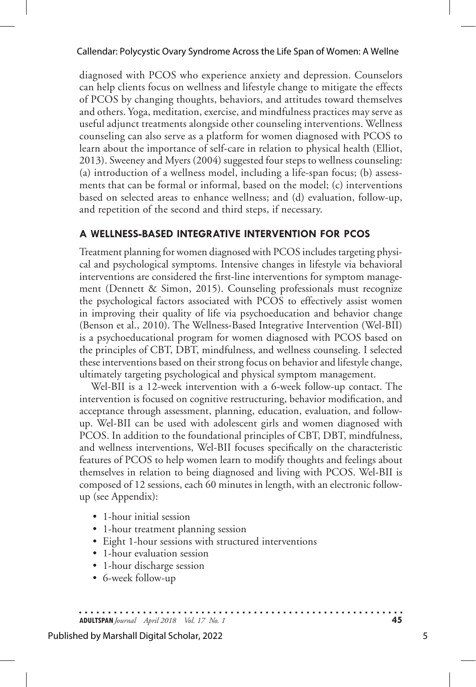diagnosed with PCOS who experience anxiety and depression. Counselors can help clients focus on wellness and lifestyle change to mitigate the effects of PCOS by changing thoughts, behaviors, and attitudes toward themselves and others. Yoga, meditation, exercise, and mindfulness practices may serve as useful adjunct treatments alongside other counseling interventions. Wellness counseling can also serve as a platform for women diagnosed with PCOS to learn about the importance of self-care in relation to physical health (Elliot, 2013). Sweeney and Myers (2004) suggested four steps to wellness counseling: (a) introduction of a wellness model, including a life-span focus; (b) assessments that can be formal or informal, based on the model; (c) interventions based on selected areas to enhance wellness; and (d) evaluation, follow-up, and repetition of the second and third steps, if necessary.

#### **A WELLNESS-BASED INTEGRATIVE INTERVENTION FOR PCOS**

Treatment planning for women diagnosed with PCOS includes targeting physical and psychological symptoms. Intensive changes in lifestyle via behavioral interventions are considered the first-line interventions for symptom management (Dennett & Simon, 2015). Counseling professionals must recognize the psychological factors associated with PCOS to effectively assist women in improving their quality of life via psychoeducation and behavior change (Benson et al., 2010). The Wellness-Based Integrative Intervention (Wel-BII) is a psychoeducational program for women diagnosed with PCOS based on the principles of CBT, DBT, mindfulness, and wellness counseling. I selected these interventions based on their strong focus on behavior and lifestyle change, ultimately targeting psychological and physical symptom management.

Wel-BII is a 12-week intervention with a 6-week follow-up contact. The intervention is focused on cognitive restructuring, behavior modification, and acceptance through assessment, planning, education, evaluation, and followup. Wel-BII can be used with adolescent girls and women diagnosed with PCOS. In addition to the foundational principles of CBT, DBT, mindfulness, and wellness interventions, Wel-BII focuses specifically on the characteristic features of PCOS to help women learn to modify thoughts and feelings about themselves in relation to being diagnosed and living with PCOS. Wel-BII is composed of 12 sessions, each 60 minutes in length, with an electronic followup (see Appendix):

- 1-hour initial session
- 1-hour treatment planning session
- Eight 1-hour sessions with structured interventions
- 1-hour evaluation session
- 1-hour discharge session
- 6-week follow-up

**ADULTSPAN***Journal April 2018 Vol. 17 No. 1* **45**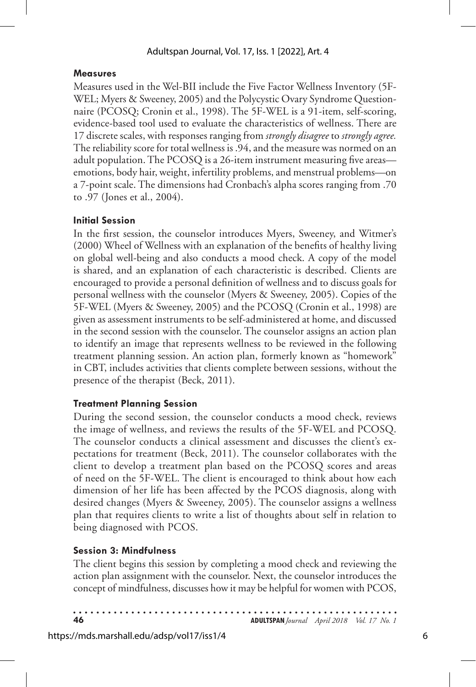#### **Measures**

Measures used in the Wel-BII include the Five Factor Wellness Inventory (5F-WEL; Myers & Sweeney, 2005) and the Polycystic Ovary Syndrome Questionnaire (PCOSQ; Cronin et al., 1998). The 5F-WEL is a 91-item, self-scoring, evidence-based tool used to evaluate the characteristics of wellness. There are 17 discrete scales, with responses ranging from *strongly disagree* to *strongly agree.*  The reliability score for total wellness is .94, and the measure was normed on an adult population. The PCOSQ is a 26-item instrument measuring five areas emotions, body hair, weight, infertility problems, and menstrual problems—on a 7-point scale. The dimensions had Cronbach's alpha scores ranging from .70 to .97 (Jones et al., 2004).

### **Initial Session**

In the first session, the counselor introduces Myers, Sweeney, and Witmer's (2000) Wheel of Wellness with an explanation of the benefits of healthy living on global well-being and also conducts a mood check. A copy of the model is shared, and an explanation of each characteristic is described. Clients are encouraged to provide a personal definition of wellness and to discuss goals for personal wellness with the counselor (Myers & Sweeney, 2005). Copies of the 5F-WEL (Myers & Sweeney, 2005) and the PCOSQ (Cronin et al., 1998) are given as assessment instruments to be self-administered at home, and discussed in the second session with the counselor. The counselor assigns an action plan to identify an image that represents wellness to be reviewed in the following treatment planning session. An action plan, formerly known as "homework" in CBT, includes activities that clients complete between sessions, without the presence of the therapist (Beck, 2011).

#### **Treatment Planning Session**

During the second session, the counselor conducts a mood check, reviews the image of wellness, and reviews the results of the 5F-WEL and PCOSQ. The counselor conducts a clinical assessment and discusses the client's expectations for treatment (Beck, 2011). The counselor collaborates with the client to develop a treatment plan based on the PCOSQ scores and areas of need on the 5F-WEL. The client is encouraged to think about how each dimension of her life has been affected by the PCOS diagnosis, along with desired changes (Myers & Sweeney, 2005). The counselor assigns a wellness plan that requires clients to write a list of thoughts about self in relation to being diagnosed with PCOS.

## **Session 3: Mindfulness**

The client begins this session by completing a mood check and reviewing the action plan assignment with the counselor. Next, the counselor introduces the concept of mindfulness, discusses how it may be helpful for women with PCOS,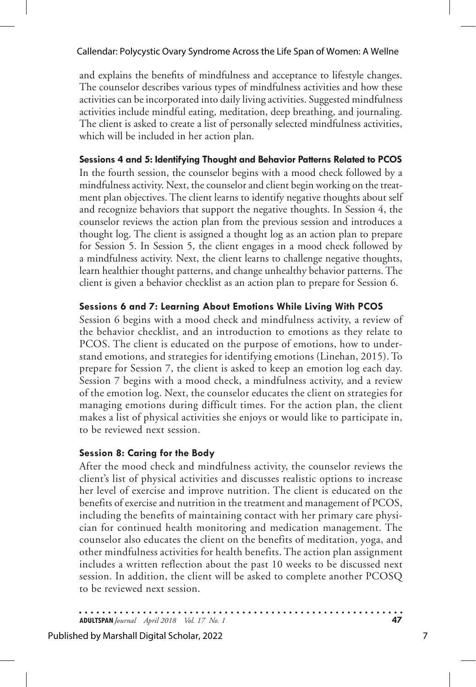and explains the benefits of mindfulness and acceptance to lifestyle changes. The counselor describes various types of mindfulness activities and how these activities can be incorporated into daily living activities. Suggested mindfulness activities include mindful eating, meditation, deep breathing, and journaling. The client is asked to create a list of personally selected mindfulness activities, which will be included in her action plan.

#### **Sessions 4 and 5: Identifying Thought and Behavior Patterns Related to PCOS**

In the fourth session, the counselor begins with a mood check followed by a mindfulness activity. Next, the counselor and client begin working on the treatment plan objectives. The client learns to identify negative thoughts about self and recognize behaviors that support the negative thoughts. In Session 4, the counselor reviews the action plan from the previous session and introduces a thought log. The client is assigned a thought log as an action plan to prepare for Session 5. In Session 5, the client engages in a mood check followed by a mindfulness activity. Next, the client learns to challenge negative thoughts, learn healthier thought patterns, and change unhealthy behavior patterns. The client is given a behavior checklist as an action plan to prepare for Session 6.

#### **Sessions 6 and 7: Learning About Emotions While Living With PCOS**

Session 6 begins with a mood check and mindfulness activity, a review of the behavior checklist, and an introduction to emotions as they relate to PCOS. The client is educated on the purpose of emotions, how to understand emotions, and strategies for identifying emotions (Linehan, 2015). To prepare for Session 7, the client is asked to keep an emotion log each day. Session 7 begins with a mood check, a mindfulness activity, and a review of the emotion log. Next, the counselor educates the client on strategies for managing emotions during difficult times. For the action plan, the client makes a list of physical activities she enjoys or would like to participate in, to be reviewed next session.

#### **Session 8: Caring for the Body**

After the mood check and mindfulness activity, the counselor reviews the client's list of physical activities and discusses realistic options to increase her level of exercise and improve nutrition. The client is educated on the benefits of exercise and nutrition in the treatment and management of PCOS, including the benefits of maintaining contact with her primary care physician for continued health monitoring and medication management. The counselor also educates the client on the benefits of meditation, yoga, and other mindfulness activities for health benefits. The action plan assignment includes a written reflection about the past 10 weeks to be discussed next session. In addition, the client will be asked to complete another PCOSQ to be reviewed next session.

**ADULTSPAN***Journal April 2018 Vol. 17 No. 1* **47**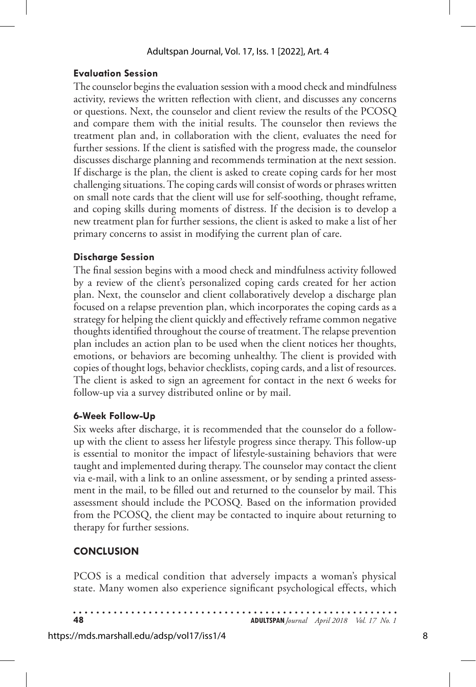## **Evaluation Session**

The counselor begins the evaluation session with a mood check and mindfulness activity, reviews the written reflection with client, and discusses any concerns or questions. Next, the counselor and client review the results of the PCOSQ and compare them with the initial results. The counselor then reviews the treatment plan and, in collaboration with the client, evaluates the need for further sessions. If the client is satisfied with the progress made, the counselor discusses discharge planning and recommends termination at the next session. If discharge is the plan, the client is asked to create coping cards for her most challenging situations. The coping cards will consist of words or phrases written on small note cards that the client will use for self-soothing, thought reframe, and coping skills during moments of distress. If the decision is to develop a new treatment plan for further sessions, the client is asked to make a list of her primary concerns to assist in modifying the current plan of care.

## **Discharge Session**

The final session begins with a mood check and mindfulness activity followed by a review of the client's personalized coping cards created for her action plan. Next, the counselor and client collaboratively develop a discharge plan focused on a relapse prevention plan, which incorporates the coping cards as a strategy for helping the client quickly and effectively reframe common negative thoughts identified throughout the course of treatment. The relapse prevention plan includes an action plan to be used when the client notices her thoughts, emotions, or behaviors are becoming unhealthy. The client is provided with copies of thought logs, behavior checklists, coping cards, and a list of resources. The client is asked to sign an agreement for contact in the next 6 weeks for follow-up via a survey distributed online or by mail.

## **6-Week Follow-Up**

Six weeks after discharge, it is recommended that the counselor do a followup with the client to assess her lifestyle progress since therapy. This follow-up is essential to monitor the impact of lifestyle-sustaining behaviors that were taught and implemented during therapy. The counselor may contact the client via e-mail, with a link to an online assessment, or by sending a printed assessment in the mail, to be filled out and returned to the counselor by mail. This assessment should include the PCOSQ. Based on the information provided from the PCOSQ, the client may be contacted to inquire about returning to therapy for further sessions.

## **CONCLUSION**

PCOS is a medical condition that adversely impacts a woman's physical state. Many women also experience significant psychological effects, which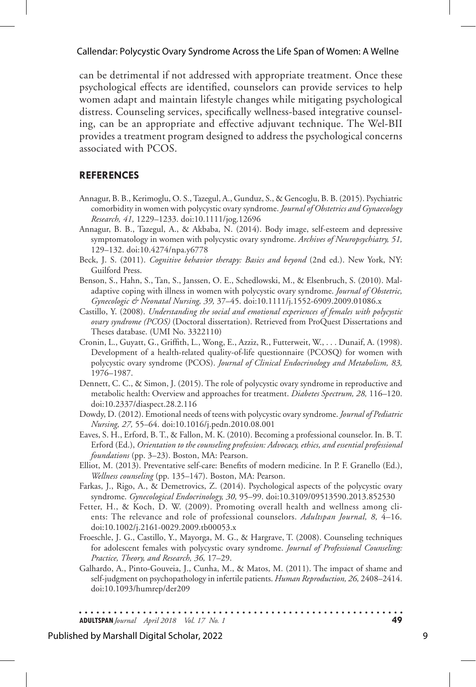can be detrimental if not addressed with appropriate treatment. Once these psychological effects are identified, counselors can provide services to help women adapt and maintain lifestyle changes while mitigating psychological distress. Counseling services, specifically wellness-based integrative counseling, can be an appropriate and effective adjuvant technique. The Wel-BII provides a treatment program designed to address the psychological concerns associated with PCOS.

#### **REFERENCES**

- Annagur, B. B., Kerimoglu, O. S., Tazegul, A., Gunduz, S., & Gencoglu, B. B. (2015). Psychiatric comorbidity in women with polycystic ovary syndrome. *Journal of Obstetrics and Gynaecology Research, 41,* 1229–1233. doi:10.1111/jog.12696
- Annagur, B. B., Tazegul, A., & Akbaba, N. (2014). Body image, self-esteem and depressive symptomatology in women with polycystic ovary syndrome. *Archives of Neuropsychiatry, 51,* 129–132. doi:10.4274/npa.y6778
- Beck, J. S. (2011). *Cognitive behavior therapy: Basics and beyond* (2nd ed.). New York, NY: Guilford Press.
- Benson, S., Hahn, S., Tan, S., Janssen, O. E., Schedlowski, M., & Elsenbruch, S. (2010). Maladaptive coping with illness in women with polycystic ovary syndrome. *Journal of Obstetric, Gynecologic & Neonatal Nursing, 39,* 37–45. doi:10.1111/j.1552-6909.2009.01086.x
- Castillo, Y. (2008). *Understanding the social and emotional experiences of females with polycystic ovary syndrome (PCOS)* (Doctoral dissertation). Retrieved from ProQuest Dissertations and Theses database. (UMI No. 3322110)
- Cronin, L., Guyatt, G., Griffith, L., Wong, E., Azziz, R., Futterweit, W., . . . Dunaif, A. (1998). Development of a health-related quality-of-life questionnaire (PCOSQ) for women with polycystic ovary syndrome (PCOS). *Journal of Clinical Endocrinology and Metabolism, 83,* 1976–1987.
- Dennett, C. C., & Simon, J. (2015). The role of polycystic ovary syndrome in reproductive and metabolic health: Overview and approaches for treatment. *Diabetes Spectrum, 28,* 116–120. doi:10.2337/diaspect.28.2.116
- Dowdy, D. (2012). Emotional needs of teens with polycystic ovary syndrome. *Journal of Pediatric Nursing, 27,* 55–64. doi:10.1016/j.pedn.2010.08.001
- Eaves, S. H., Erford, B. T., & Fallon, M. K. (2010). Becoming a professional counselor. In. B. T. Erford (Ed.), *Orientation to the counseling profession: Advocacy, ethics, and essential professional foundations* (pp. 3–23). Boston, MA: Pearson.
- Elliot, M. (2013). Preventative self-care: Benefits of modern medicine. In P. F. Granello (Ed.), *Wellness counseling* (pp. 135–147). Boston, MA: Pearson.
- Farkas, J., Rigo, A., & Demetrovics, Z. (2014). Psychological aspects of the polycystic ovary syndrome. *Gynecological Endocrinology, 30,* 95–99. doi:10.3109/09513590.2013.852530
- Fetter, H., & Koch, D. W. (2009). Promoting overall health and wellness among clients: The relevance and role of professional counselors. *Adultspan Journal, 8,* 4–16. doi:10.1002/j.2161-0029.2009.tb00053.x
- Froeschle, J. G., Castillo, Y., Mayorga, M. G., & Hargrave, T. (2008). Counseling techniques for adolescent females with polycystic ovary syndrome. *Journal of Professional Counseling: Practice, Theory, and Research, 36,* 17–29.
- Galhardo, A., Pinto-Gouveia, J., Cunha, M., & Matos, M. (2011). The impact of shame and self-judgment on psychopathology in infertile patients. *Human Reproduction, 26,* 2408–2414. doi:10.1093/humrep/der209

. . . . . . . . . . . . . . . **ADULTSPAN***Journal April 2018 Vol. 17 No. 1* **49**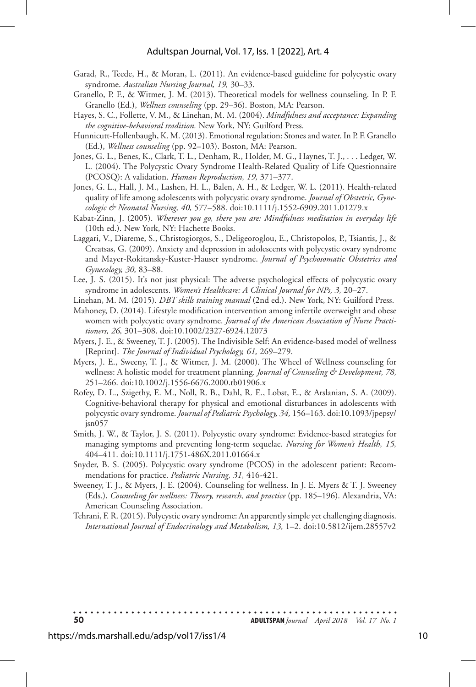#### Adultspan Journal, Vol. 17, Iss. 1 [2022], Art. 4

- Garad, R., Teede, H., & Moran, L. (2011). An evidence-based guideline for polycystic ovary syndrome. *Australian Nursing Journal, 19,* 30–33.
- Granello, P. F., & Witmer, J. M. (2013). Theoretical models for wellness counseling. In P. F. Granello (Ed.), *Wellness counseling* (pp. 29–36). Boston, MA: Pearson.
- Hayes, S. C., Follette, V. M., & Linehan, M. M. (2004). *Mindfulness and acceptance: Expanding the cognitive-behavioral tradition.* New York, NY: Guilford Press.
- Hunnicutt-Hollenbaugh, K. M. (2013). Emotional regulation: Stones and water. In P. F. Granello (Ed.), *Wellness counseling* (pp. 92–103). Boston, MA: Pearson.
- Jones, G. L., Benes, K., Clark, T. L., Denham, R., Holder, M. G., Haynes, T. J., . . . Ledger, W. L. (2004). The Polycystic Ovary Syndrome Health-Related Quality of Life Questionnaire (PCOSQ): A validation. *Human Reproduction, 19,* 371–377.
- Jones, G. L., Hall, J. M., Lashen, H. L., Balen, A. H., & Ledger, W. L. (2011). Health-related quality of life among adolescents with polycystic ovary syndrome. *Journal of Obstetric, Gynecologic & Neonatal Nursing, 40,* 577–588. doi:10.1111/j.1552-6909.2011.01279.x
- Kabat-Zinn, J. (2005). *Wherever you go, there you are: Mindfulness meditation in everyday life*  (10th ed.). New York, NY: Hachette Books.
- Laggari, V., Diareme, S., Christogiorgos, S., Deligeoroglou, E., Christopolos, P., Tsiantis, J., & Creatsas, G. (2009). Anxiety and depression in adolescents with polycystic ovary syndrome and Mayer-Rokitansky-Kuster-Hauser syndrome. *Journal of Psychosomatic Obstetrics and Gynecology, 30,* 83–88.
- Lee, J. S. (2015). It's not just physical: The adverse psychological effects of polycystic ovary syndrome in adolescents. *Women's Healthcare: A Clinical Journal for NPs, 3,* 20–27.
- Linehan, M. M. (2015). *DBT skills training manual* (2nd ed.). New York, NY: Guilford Press.
- Mahoney, D. (2014). Lifestyle modification intervention among infertile overweight and obese women with polycystic ovary syndrome. *Journal of the American Association of Nurse Practitioners, 26,* 301–308. doi:10.1002/2327-6924.12073
- Myers, J. E., & Sweeney, T. J. (2005). The Indivisible Self: An evidence-based model of wellness [Reprint]. *The Journal of Individual Psychology, 61,* 269–279.
- Myers, J. E., Sweeny, T. J., & Witmer, J. M. (2000). The Wheel of Wellness counseling for wellness: A holistic model for treatment planning. *Journal of Counseling & Development, 78,* 251–266. doi:10.1002/j.1556-6676.2000.tb01906.x
- Rofey, D. L., Szigethy, E. M., Noll, R. B., Dahl, R. E., Lobst, E., & Arslanian, S. A. (2009). Cognitive-behavioral therapy for physical and emotional disturbances in adolescents with polycystic ovary syndrome. *Journal of Pediatric Psychology, 34,* 156–163. doi:10.1093/jpepsy/  $isn057$
- Smith, J. W., & Taylor, J. S. (2011). Polycystic ovary syndrome: Evidence-based strategies for managing symptoms and preventing long-term sequelae. *Nursing for Women's Health, 15,* 404–411. doi:10.1111/j.1751-486X.2011.01664.x
- Snyder, B. S. (2005). Polycystic ovary syndrome (PCOS) in the adolescent patient: Recommendations for practice. *Pediatric Nursing, 31,* 416-421.
- Sweeney, T. J., & Myers, J. E. (2004). Counseling for wellness. In J. E. Myers & T. J. Sweeney (Eds.), *Counseling for wellness: Theory, research, and practice* (pp. 185–196). Alexandria, VA: American Counseling Association.
- Tehrani, F. R. (2015). Polycystic ovary syndrome: An apparently simple yet challenging diagnosis. *International Journal of Endocrinology and Metabolism, 13,* 1–2. doi:10.5812/ijem.28557v2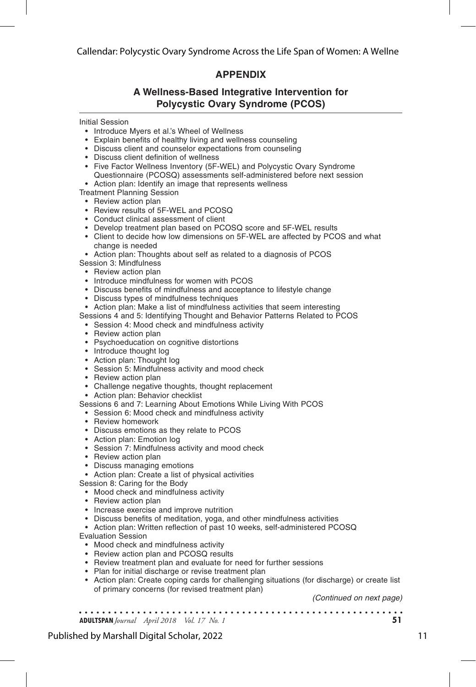#### **APPENDIX**

#### **A Wellness-Based Integrative Intervention for Polycystic Ovary Syndrome (PCOS)**

#### Initial Session

- Introduce Myers et al.'s Wheel of Wellness
- Explain benefits of healthy living and wellness counseling
- Discuss client and counselor expectations from counseling
- Discuss client definition of wellness
- Five Factor Wellness Inventory (5F-WEL) and Polycystic Ovary Syndrome Questionnaire (PCOSQ) assessments self-administered before next session

• Action plan: Identify an image that represents wellness

Treatment Planning Session

- Review action plan
- Review results of 5F-WEL and PCOSQ
- Conduct clinical assessment of client
- Develop treatment plan based on PCOSQ score and 5F-WEL results
- Client to decide how low dimensions on 5F-WEL are affected by PCOS and what change is needed
- Action plan: Thoughts about self as related to a diagnosis of PCOS
- Session 3: Mindfulness
- Review action plan
- Introduce mindfulness for women with PCOS
- Discuss benefits of mindfulness and acceptance to lifestyle change
- Discuss types of mindfulness techniques
- Action plan: Make a list of mindfulness activities that seem interesting
- Sessions 4 and 5: Identifying Thought and Behavior Patterns Related to PCOS
	- Session 4: Mood check and mindfulness activity
	- Review action plan
	- Psychoeducation on cognitive distortions
	- Introduce thought log
	- Action plan: Thought log
	- Session 5: Mindfulness activity and mood check
	- Review action plan
	- Challenge negative thoughts, thought replacement
	- Action plan: Behavior checklist

Sessions 6 and 7: Learning About Emotions While Living With PCOS

- Session 6: Mood check and mindfulness activity
- Review homework
- Discuss emotions as they relate to PCOS
- Action plan: Emotion log
- Session 7: Mindfulness activity and mood check
- Review action plan
- Discuss managing emotions
- Action plan: Create a list of physical activities
- Session 8: Caring for the Body
	- Mood check and mindfulness activity
	- Review action plan
	- Increase exercise and improve nutrition
	- Discuss benefits of meditation, yoga, and other mindfulness activities
	- Action plan: Written reflection of past 10 weeks, self-administered PCOSQ

Evaluation Session

- Mood check and mindfulness activity
- Review action plan and PCOSQ results
- Review treatment plan and evaluate for need for further sessions
- Plan for initial discharge or revise treatment plan
- Action plan: Create coping cards for challenging situations (for discharge) or create list of primary concerns (for revised treatment plan)

*(Continued on next page)*

**ADULTSPAN***Journal April 2018 Vol. 17 No. 1* **51**